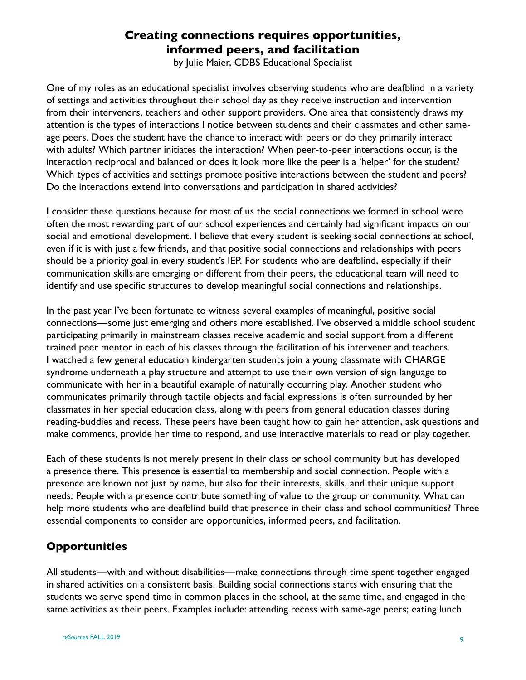# **Creating connections requires opportunities, informed peers, and facilitation**

by Julie Maier, CDBS Educational Specialist

One of my roles as an educational specialist involves observing students who are deafblind in a variety of settings and activities throughout their school day as they receive instruction and intervention from their interveners, teachers and other support providers. One area that consistently draws my attention is the types of interactions I notice between students and their classmates and other sameage peers. Does the student have the chance to interact with peers or do they primarily interact with adults? Which partner initiates the interaction? When peer-to-peer interactions occur, is the interaction reciprocal and balanced or does it look more like the peer is a 'helper' for the student? Which types of activities and settings promote positive interactions between the student and peers? Do the interactions extend into conversations and participation in shared activities?

I consider these questions because for most of us the social connections we formed in school were often the most rewarding part of our school experiences and certainly had significant impacts on our social and emotional development. I believe that every student is seeking social connections at school, even if it is with just a few friends, and that positive social connections and relationships with peers should be a priority goal in every student's IEP. For students who are deafblind, especially if their communication skills are emerging or different from their peers, the educational team will need to identify and use specific structures to develop meaningful social connections and relationships.

In the past year I've been fortunate to witness several examples of meaningful, positive social connections—some just emerging and others more established. I've observed a middle school student participating primarily in mainstream classes receive academic and social support from a different trained peer mentor in each of his classes through the facilitation of his intervener and teachers. I watched a few general education kindergarten students join a young classmate with CHARGE syndrome underneath a play structure and attempt to use their own version of sign language to communicate with her in a beautiful example of naturally occurring play. Another student who communicates primarily through tactile objects and facial expressions is often surrounded by her classmates in her special education class, along with peers from general education classes during reading-buddies and recess. These peers have been taught how to gain her attention, ask questions and make comments, provide her time to respond, and use interactive materials to read or play together.

Each of these students is not merely present in their class or school community but has developed a presence there. This presence is essential to membership and social connection. People with a presence are known not just by name, but also for their interests, skills, and their unique support needs. People with a presence contribute something of value to the group or community. What can help more students who are deafblind build that presence in their class and school communities? Three essential components to consider are opportunities, informed peers, and facilitation.

### **Opportunities**

All students—with and without disabilities—make connections through time spent together engaged in shared activities on a consistent basis. Building social connections starts with ensuring that the students we serve spend time in common places in the school, at the same time, and engaged in the same activities as their peers. Examples include: attending recess with same-age peers; eating lunch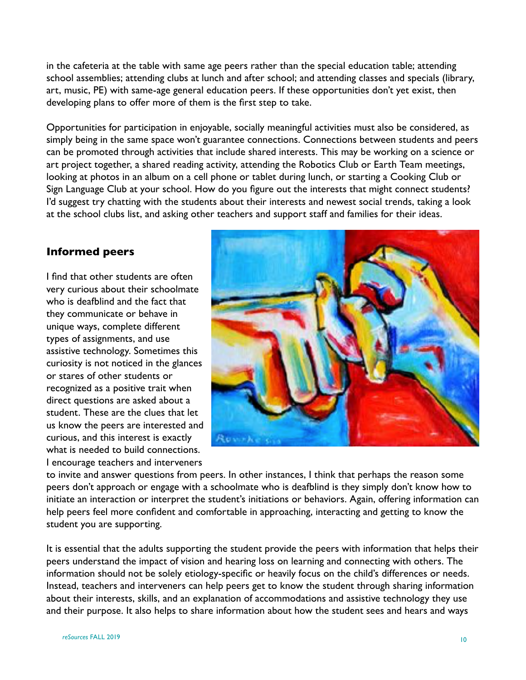in the cafeteria at the table with same age peers rather than the special education table; attending school assemblies; attending clubs at lunch and after school; and attending classes and specials (library, art, music, PE) with same-age general education peers. If these opportunities don't yet exist, then developing plans to offer more of them is the first step to take.

Opportunities for participation in enjoyable, socially meaningful activities must also be considered, as simply being in the same space won't guarantee connections. Connections between students and peers can be promoted through activities that include shared interests. This may be working on a science or art project together, a shared reading activity, attending the Robotics Club or Earth Team meetings, looking at photos in an album on a cell phone or tablet during lunch, or starting a Cooking Club or Sign Language Club at your school. How do you figure out the interests that might connect students? I'd suggest try chatting with the students about their interests and newest social trends, taking a look at the school clubs list, and asking other teachers and support staff and families for their ideas.

### **Informed peers**

I find that other students are often very curious about their schoolmate who is deafblind and the fact that they communicate or behave in unique ways, complete different types of assignments, and use assistive technology. Sometimes this curiosity is not noticed in the glances or stares of other students or recognized as a positive trait when direct questions are asked about a student. These are the clues that let us know the peers are interested and curious, and this interest is exactly what is needed to build connections. I encourage teachers and interveners



to invite and answer questions from peers. In other instances, I think that perhaps the reason some peers don't approach or engage with a schoolmate who is deafblind is they simply don't know how to initiate an interaction or interpret the student's initiations or behaviors. Again, offering information can help peers feel more confident and comfortable in approaching, interacting and getting to know the student you are supporting.

It is essential that the adults supporting the student provide the peers with information that helps their peers understand the impact of vision and hearing loss on learning and connecting with others. The information should not be solely etiology-specific or heavily focus on the child's differences or needs. Instead, teachers and interveners can help peers get to know the student through sharing information about their interests, skills, and an explanation of accommodations and assistive technology they use and their purpose. It also helps to share information about how the student sees and hears and ways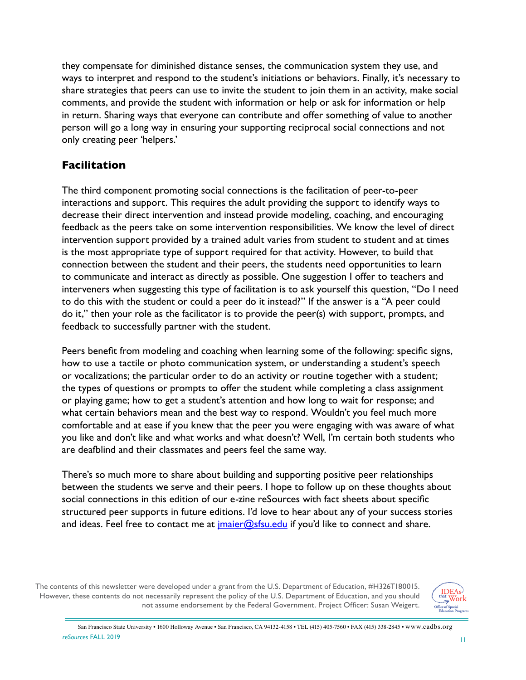they compensate for diminished distance senses, the communication system they use, and ways to interpret and respond to the student's initiations or behaviors. Finally, it's necessary to share strategies that peers can use to invite the student to join them in an activity, make social comments, and provide the student with information or help or ask for information or help in return. Sharing ways that everyone can contribute and offer something of value to another person will go a long way in ensuring your supporting reciprocal social connections and not only creating peer 'helpers.'

## **Facilitation**

The third component promoting social connections is the facilitation of peer-to-peer interactions and support. This requires the adult providing the support to identify ways to decrease their direct intervention and instead provide modeling, coaching, and encouraging feedback as the peers take on some intervention responsibilities. We know the level of direct intervention support provided by a trained adult varies from student to student and at times is the most appropriate type of support required for that activity. However, to build that connection between the student and their peers, the students need opportunities to learn to communicate and interact as directly as possible. One suggestion I offer to teachers and interveners when suggesting this type of facilitation is to ask yourself this question, "Do I need to do this with the student or could a peer do it instead?" If the answer is a "A peer could do it," then your role as the facilitator is to provide the peer(s) with support, prompts, and feedback to successfully partner with the student.

Peers benefit from modeling and coaching when learning some of the following: specific signs, how to use a tactile or photo communication system, or understanding a student's speech or vocalizations; the particular order to do an activity or routine together with a student; the types of questions or prompts to offer the student while completing a class assignment or playing game; how to get a student's attention and how long to wait for response; and what certain behaviors mean and the best way to respond. Wouldn't you feel much more comfortable and at ease if you knew that the peer you were engaging with was aware of what you like and don't like and what works and what doesn't? Well, I'm certain both students who are deafblind and their classmates and peers feel the same way.

There's so much more to share about building and supporting positive peer relationships between the students we serve and their peers. I hope to follow up on these thoughts about social connections in this edition of our e-zine reSources with fact sheets about specific structured peer supports in future editions. I'd love to hear about any of your success stories and ideas. Feel free to contact me at *imaier@sfsu.edu* if you'd like to connect and share.

The contents of this newsletter were developed under a grant from the U.S. Department of Education, #H326T180015. However, these contents do not necessarily represent the policy of the U.S. Department of Education, and you should not assume endorsement by the Federal Government. Project Officer: Susan Weigert.

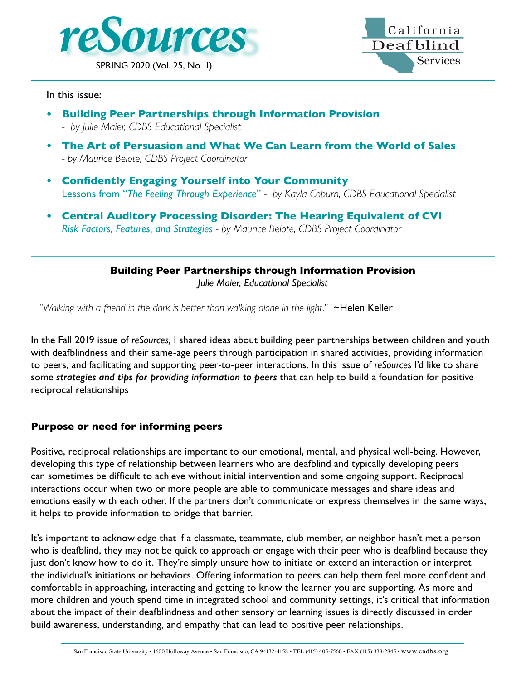



In this issue:

- **• Building Peer Partnerships through Information Provision** *- by Julie Maier, CDBS Educational Specialist*
- **• The Art of Persuasion and What We Can Learn from the World of Sales** *- by Maurice Belote, CDBS Project Coordinator*
- **• Confidently Engaging Yourself into Your Community** Lessons from "*The Feeling Through Experience*" *- by Kayla Coburn, CDBS Educational Specialist*
- **• Central Auditory Processing Disorder: The Hearing Equivalent of CVI** *Risk Factors, Features, and Strategies - by Maurice Belote, CDBS Project Coordinator*

**Building Peer Partnerships through Information Provision**

*Julie Maier, Educational Specialist*

*"Walking with a friend in the dark is better than walking alone in the light."* ~Helen Keller

In the Fall 2019 issue of *reSources,* I shared ideas about building peer partnerships between children and youth with deafblindness and their same-age peers through participation in shared activities, providing information to peers, and facilitating and supporting peer-to-peer interactions. In this issue of *reSources* I'd like to share some *strategies and tips for providing information to peers* that can help to build a foundation for positive reciprocal relationships

### **Purpose or need for informing peers**

Positive, reciprocal relationships are important to our emotional, mental, and physical well-being. However, developing this type of relationship between learners who are deafblind and typically developing peers can sometimes be difficult to achieve without initial intervention and some ongoing support. Reciprocal interactions occur when two or more people are able to communicate messages and share ideas and emotions easily with each other. If the partners don't communicate or express themselves in the same ways, it helps to provide information to bridge that barrier.

It's important to acknowledge that if a classmate, teammate, club member, or neighbor hasn't met a person who is deafblind, they may not be quick to approach or engage with their peer who is deafblind because they just don't know how to do it. They're simply unsure how to initiate or extend an interaction or interpret the individual's initiations or behaviors. Offering information to peers can help them feel more confident and comfortable in approaching, interacting and getting to know the learner you are supporting. As more and more children and youth spend time in integrated school and community settings, it's critical that information about the impact of their deafblindness and other sensory or learning issues is directly discussed in order build awareness, understanding, and empathy that can lead to positive peer relationships.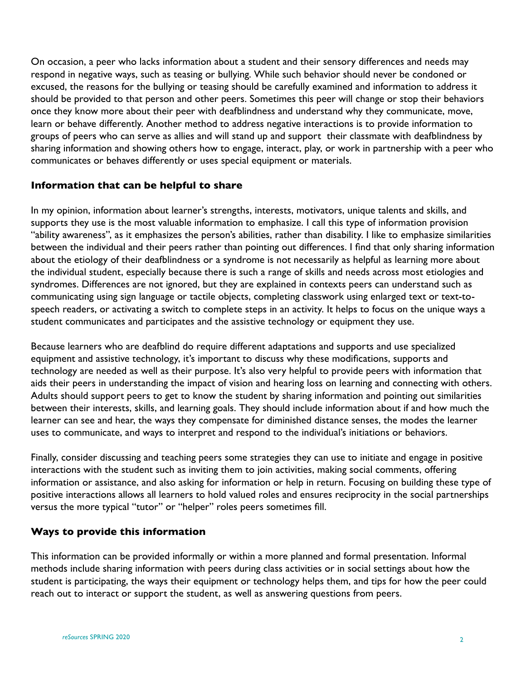On occasion, a peer who lacks information about a student and their sensory differences and needs may respond in negative ways, such as teasing or bullying. While such behavior should never be condoned or excused, the reasons for the bullying or teasing should be carefully examined and information to address it should be provided to that person and other peers. Sometimes this peer will change or stop their behaviors once they know more about their peer with deafblindness and understand why they communicate, move, learn or behave differently. Another method to address negative interactions is to provide information to groups of peers who can serve as allies and will stand up and support their classmate with deafblindness by sharing information and showing others how to engage, interact, play, or work in partnership with a peer who communicates or behaves differently or uses special equipment or materials.

#### **Information that can be helpful to share**

In my opinion, information about learner's strengths, interests, motivators, unique talents and skills, and supports they use is the most valuable information to emphasize. I call this type of information provision "ability awareness", as it emphasizes the person's abilities, rather than disability. I like to emphasize similarities between the individual and their peers rather than pointing out differences. I find that only sharing information about the etiology of their deafblindness or a syndrome is not necessarily as helpful as learning more about the individual student, especially because there is such a range of skills and needs across most etiologies and syndromes. Differences are not ignored, but they are explained in contexts peers can understand such as communicating using sign language or tactile objects, completing classwork using enlarged text or text-tospeech readers, or activating a switch to complete steps in an activity. It helps to focus on the unique ways a student communicates and participates and the assistive technology or equipment they use.

Because learners who are deafblind do require different adaptations and supports and use specialized equipment and assistive technology, it's important to discuss why these modifications, supports and technology are needed as well as their purpose. It's also very helpful to provide peers with information that aids their peers in understanding the impact of vision and hearing loss on learning and connecting with others. Adults should support peers to get to know the student by sharing information and pointing out similarities between their interests, skills, and learning goals. They should include information about if and how much the learner can see and hear, the ways they compensate for diminished distance senses, the modes the learner uses to communicate, and ways to interpret and respond to the individual's initiations or behaviors.

Finally, consider discussing and teaching peers some strategies they can use to initiate and engage in positive interactions with the student such as inviting them to join activities, making social comments, offering information or assistance, and also asking for information or help in return. Focusing on building these type of positive interactions allows all learners to hold valued roles and ensures reciprocity in the social partnerships versus the more typical "tutor" or "helper" roles peers sometimes fill.

#### **Ways to provide this information**

This information can be provided informally or within a more planned and formal presentation. Informal methods include sharing information with peers during class activities or in social settings about how the student is participating, the ways their equipment or technology helps them, and tips for how the peer could reach out to interact or support the student, as well as answering questions from peers.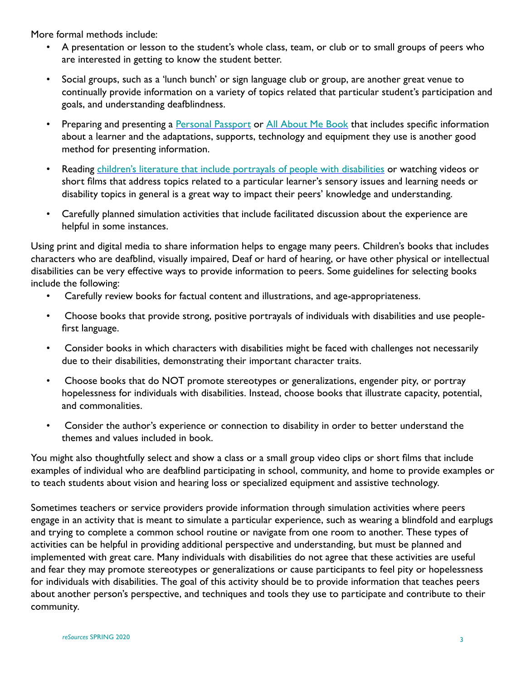More formal methods include:

- A presentation or lesson to the student's whole class, team, or club or to small groups of peers who are interested in getting to know the student better.
- Social groups, such as a 'lunch bunch' or sign language club or group, are another great venue to continually provide information on a variety of topics related that particular student's participation and goals, and understanding deafblindness.
- Preparing and presenting a **[Personal Passport](http://files.cadbs.org/200000024-07f4a08eee/Fall04.pdf) or [All About Me Book](http://bit.ly/AllAboutMeResources)** that includes specific information about a learner and the adaptations, supports, technology and equipment they use is another good method for presenting information.
- Reading [children's literature that include portrayals of people with disabilities](https://iris.peabody.vanderbilt.edu/resources/books/) or watching videos or short films that address topics related to a particular learner's sensory issues and learning needs or disability topics in general is a great way to impact their peers' knowledge and understanding.
- Carefully planned simulation activities that include facilitated discussion about the experience are helpful in some instances.

Using print and digital media to share information helps to engage many peers. Children's books that includes characters who are deafblind, visually impaired, Deaf or hard of hearing, or have other physical or intellectual disabilities can be very effective ways to provide information to peers. Some guidelines for selecting books include the following:

- Carefully review books for factual content and illustrations, and age-appropriateness.
- Choose books that provide strong, positive portrayals of individuals with disabilities and use peoplefirst language.
- Consider books in which characters with disabilities might be faced with challenges not necessarily due to their disabilities, demonstrating their important character traits.
- Choose books that do NOT promote stereotypes or generalizations, engender pity, or portray hopelessness for individuals with disabilities. Instead, choose books that illustrate capacity, potential, and commonalities.
- Consider the author's experience or connection to disability in order to better understand the themes and values included in book.

You might also thoughtfully select and show a class or a small group video clips or short films that include examples of individual who are deafblind participating in school, community, and home to provide examples or to teach students about vision and hearing loss or specialized equipment and assistive technology.

Sometimes teachers or service providers provide information through simulation activities where peers engage in an activity that is meant to simulate a particular experience, such as wearing a blindfold and earplugs and trying to complete a common school routine or navigate from one room to another. These types of activities can be helpful in providing additional perspective and understanding, but must be planned and implemented with great care. Many individuals with disabilities do not agree that these activities are useful and fear they may promote stereotypes or generalizations or cause participants to feel pity or hopelessness for individuals with disabilities. The goal of this activity should be to provide information that teaches peers about another person's perspective, and techniques and tools they use to participate and contribute to their community.